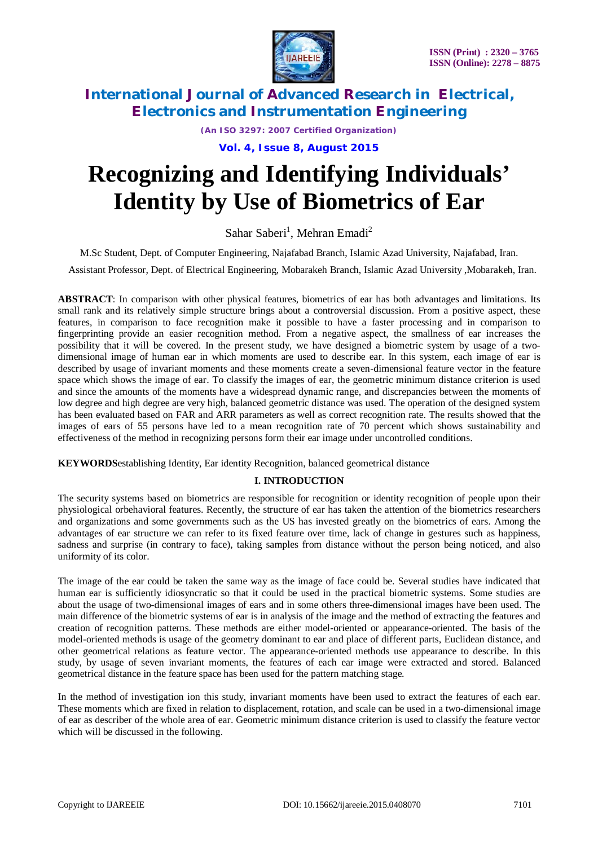

*(An ISO 3297: 2007 Certified Organization)*

**Vol. 4, Issue 8, August 2015**

# **Recognizing and Identifying Individuals' Identity by Use of Biometrics of Ear**

Sahar Saberi<sup>1</sup>, Mehran Emadi<sup>2</sup>

M.Sc Student, Dept. of Computer Engineering, Najafabad Branch, Islamic Azad University, Najafabad, Iran.

Assistant Professor, Dept. of Electrical Engineering, Mobarakeh Branch, Islamic Azad University ,Mobarakeh, Iran.

**ABSTRACT**: In comparison with other physical features, biometrics of ear has both advantages and limitations. Its small rank and its relatively simple structure brings about a controversial discussion. From a positive aspect, these features, in comparison to face recognition make it possible to have a faster processing and in comparison to fingerprinting provide an easier recognition method. From a negative aspect, the smallness of ear increases the possibility that it will be covered. In the present study, we have designed a biometric system by usage of a twodimensional image of human ear in which moments are used to describe ear. In this system, each image of ear is described by usage of invariant moments and these moments create a seven-dimensional feature vector in the feature space which shows the image of ear. To classify the images of ear, the geometric minimum distance criterion is used and since the amounts of the moments have a widespread dynamic range, and discrepancies between the moments of low degree and high degree are very high, balanced geometric distance was used. The operation of the designed system has been evaluated based on FAR and ARR parameters as well as correct recognition rate. The results showed that the images of ears of 55 persons have led to a mean recognition rate of 70 percent which shows sustainability and effectiveness of the method in recognizing persons form their ear image under uncontrolled conditions.

**KEYWORDS**establishing Identity, Ear identity Recognition, balanced geometrical distance

### **I. INTRODUCTION**

The security systems based on biometrics are responsible for recognition or identity recognition of people upon their physiological orbehavioral features. Recently, the structure of ear has taken the attention of the biometrics researchers and organizations and some governments such as the US has invested greatly on the biometrics of ears. Among the advantages of ear structure we can refer to its fixed feature over time, lack of change in gestures such as happiness, sadness and surprise (in contrary to face), taking samples from distance without the person being noticed, and also uniformity of its color.

The image of the ear could be taken the same way as the image of face could be. Several studies have indicated that human ear is sufficiently idiosyncratic so that it could be used in the practical biometric systems. Some studies are about the usage of two-dimensional images of ears and in some others three-dimensional images have been used. The main difference of the biometric systems of ear is in analysis of the image and the method of extracting the features and creation of recognition patterns. These methods are either model-oriented or appearance-oriented. The basis of the model-oriented methods is usage of the geometry dominant to ear and place of different parts, Euclidean distance, and other geometrical relations as feature vector. The appearance-oriented methods use appearance to describe. In this study, by usage of seven invariant moments, the features of each ear image were extracted and stored. Balanced geometrical distance in the feature space has been used for the pattern matching stage.

In the method of investigation ion this study, invariant moments have been used to extract the features of each ear. These moments which are fixed in relation to displacement, rotation, and scale can be used in a two-dimensional image of ear as describer of the whole area of ear. Geometric minimum distance criterion is used to classify the feature vector which will be discussed in the following.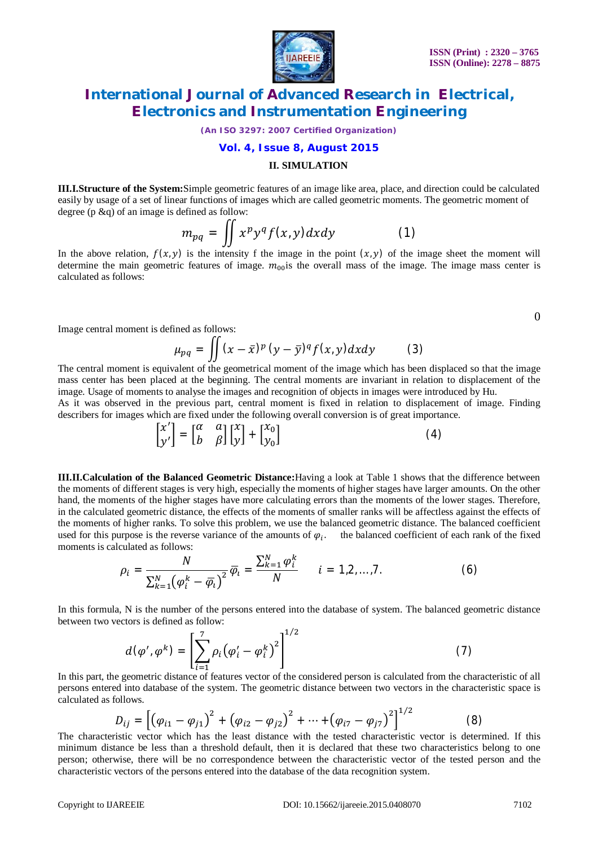

*(An ISO 3297: 2007 Certified Organization)*

#### **Vol. 4, Issue 8, August 2015**

#### **II. SIMULATION**

**III.I.Structure of the System:**Simple geometric features of an image like area, place, and direction could be calculated easily by usage of a set of linear functions of images which are called geometric moments. The geometric moment of degree (p &q) of an image is defined as follow:

$$
m_{pq} = \iint x^p y^q f(x, y) dx dy \tag{1}
$$

In the above relation,  $f(x, y)$  is the intensity f the image in the point  $(x, y)$  of the image sheet the moment will determine the main geometric features of image.  $m_{00}$  is the overall mass of the image. The image mass center is calculated as follows:

Image central moment is defined as follows:

$$
\mu_{pq} = \iint (x - \bar{x})^p (y - \bar{y})^q f(x, y) dx dy \qquad (3)
$$

The central moment is equivalent of the geometrical moment of the image which has been displaced so that the image mass center has been placed at the beginning. The central moments are invariant in relation to displacement of the image. Usage of moments to analyse the images and recognition of objects in images were introduced by Hu.

As it was observed in the previous part, central moment is fixed in relation to displacement of image. Finding describers for images which are fixed under the following overall conversion is of great importance.

$$
\begin{bmatrix} x' \\ y' \end{bmatrix} = \begin{bmatrix} \alpha & \alpha \\ b & \beta \end{bmatrix} \begin{bmatrix} x \\ y \end{bmatrix} + \begin{bmatrix} x_0 \\ y_0 \end{bmatrix}
$$
 (4)

**III.II.Calculation of the Balanced Geometric Distance:**Having a look at Table 1 shows that the difference between the moments of different stages is very high, especially the moments of higher stages have larger amounts. On the other hand, the moments of the higher stages have more calculating errors than the moments of the lower stages. Therefore, in the calculated geometric distance, the effects of the moments of smaller ranks will be affectless against the effects of the moments of higher ranks. To solve this problem, we use the balanced geometric distance. The balanced coefficient used for this purpose is the reverse variance of the amounts of  $\varphi_i$ . the balanced coefficient of each rank of the fixed moments is calculated as follows:

$$
\rho_i = \frac{N}{\sum_{k=1}^{N} (\varphi_i^k - \overline{\varphi}_i)^2} \overline{\varphi}_i = \frac{\sum_{k=1}^{N} \varphi_i^k}{N} \qquad i = 1, 2, ..., 7.
$$
 (6)

In this formula, N is the number of the persons entered into the database of system. The balanced geometric distance between two vectors is defined as follow:

$$
d(\varphi', \varphi^k) = \left[ \sum_{i=1}^7 \rho_i (\varphi'_i - \varphi_i^k)^2 \right]^{1/2}
$$
 (7)

In this part, the geometric distance of features vector of the considered person is calculated from the characteristic of all persons entered into database of the system. The geometric distance between two vectors in the characteristic space is calculated as follows.

$$
D_{ij} = \left[ \left( \varphi_{i1} - \varphi_{j1} \right)^2 + \left( \varphi_{i2} - \varphi_{j2} \right)^2 + \dots + \left( \varphi_{i7} - \varphi_{j7} \right)^2 \right]^{1/2}
$$
(8)

The characteristic vector which has the least distance with the tested characteristic vector is determined. If this minimum distance be less than a threshold default, then it is declared that these two characteristics belong to one person; otherwise, there will be no correspondence between the characteristic vector of the tested person and the characteristic vectors of the persons entered into the database of the data recognition system.

 $\Omega$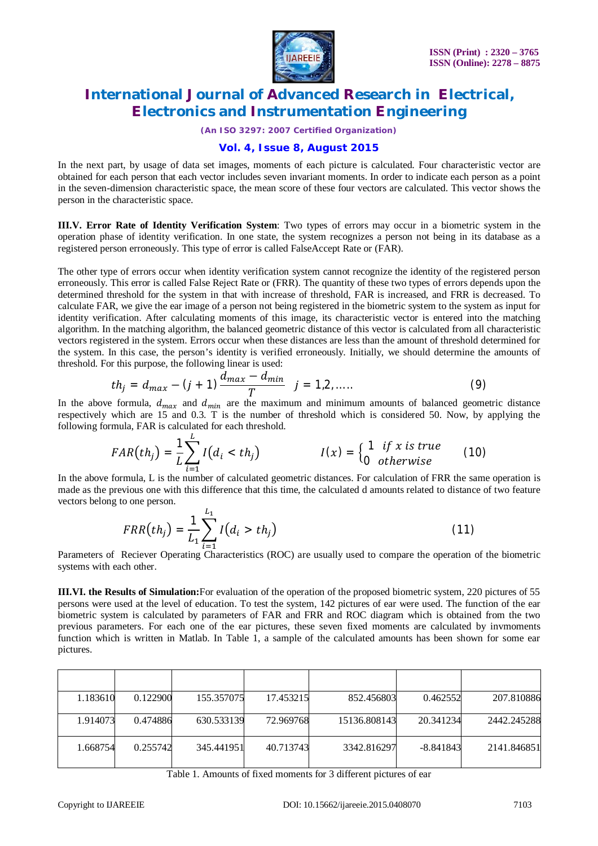

*(An ISO 3297: 2007 Certified Organization)*

#### **Vol. 4, Issue 8, August 2015**

In the next part, by usage of data set images, moments of each picture is calculated. Four characteristic vector are obtained for each person that each vector includes seven invariant moments. In order to indicate each person as a point in the seven-dimension characteristic space, the mean score of these four vectors are calculated. This vector shows the person in the characteristic space.

**III.V. Error Rate of Identity Verification System**: Two types of errors may occur in a biometric system in the operation phase of identity verification. In one state, the system recognizes a person not being in its database as a registered person erroneously. This type of error is called FalseAccept Rate or (FAR).

The other type of errors occur when identity verification system cannot recognize the identity of the registered person erroneously. This error is called False Reject Rate or (FRR). The quantity of these two types of errors depends upon the determined threshold for the system in that with increase of threshold, FAR is increased, and FRR is decreased. To calculate FAR, we give the ear image of a person not being registered in the biometric system to the system as input for identity verification. After calculating moments of this image, its characteristic vector is entered into the matching algorithm. In the matching algorithm, the balanced geometric distance of this vector is calculated from all characteristic vectors registered in the system. Errors occur when these distances are less than the amount of threshold determined for the system. In this case, the person's identity is verified erroneously. Initially, we should determine the amounts of threshold. For this purpose, the following linear is used:

$$
th_j = d_{max} - (j+1) \frac{d_{max} - d_{min}}{T} \quad j = 1, 2, .... \tag{9}
$$

In the above formula,  $d_{max}$  and  $d_{min}$  are the maximum and minimum amounts of balanced geometric distance respectively which are 15 and 0.3. T is the number of threshold which is considered 50. Now, by applying the following formula, FAR is calculated for each threshold.

$$
FAR(th_j) = \frac{1}{L} \sum_{i=1}^{L} I(d_i < th_j) \qquad I(x) = \begin{cases} 1 & \text{if } x \text{ is true} \\ 0 & \text{otherwise} \end{cases} \tag{10}
$$

In the above formula, L is the number of calculated geometric distances. For calculation of FRR the same operation is made as the previous one with this difference that this time, the calculated d amounts related to distance of two feature vectors belong to one person.

$$
FRR(th_j) = \frac{1}{L_1} \sum_{i=1}^{L_1} I(d_i > th_j)
$$
 (11)

Parameters of Reciever Operating Characteristics (ROC) are usually used to compare the operation of the biometric systems with each other.

**III.VI. the Results of Simulation:**For evaluation of the operation of the proposed biometric system, 220 pictures of 55 persons were used at the level of education. To test the system, 142 pictures of ear were used. The function of the ear biometric system is calculated by parameters of FAR and FRR and ROC diagram which is obtained from the two previous parameters. For each one of the ear pictures, these seven fixed moments are calculated by invmoments function which is written in Matlab. In Table 1, a sample of the calculated amounts has been shown for some ear pictures.

| 1.183610 | 0.122900 | 155.357075 | 17.453215 | 852.456803   | 0.462552    | 207.810886  |
|----------|----------|------------|-----------|--------------|-------------|-------------|
| 1.914073 | 0.474886 | 630.533139 | 72.969768 | 15136.808143 | 20.341234   | 2442.245288 |
| 1.668754 | 0.255742 | 345.441951 | 40.713743 | 3342.816297  | $-8.841843$ | 2141.846851 |

Table 1. Amounts of fixed moments for 3 different pictures of ear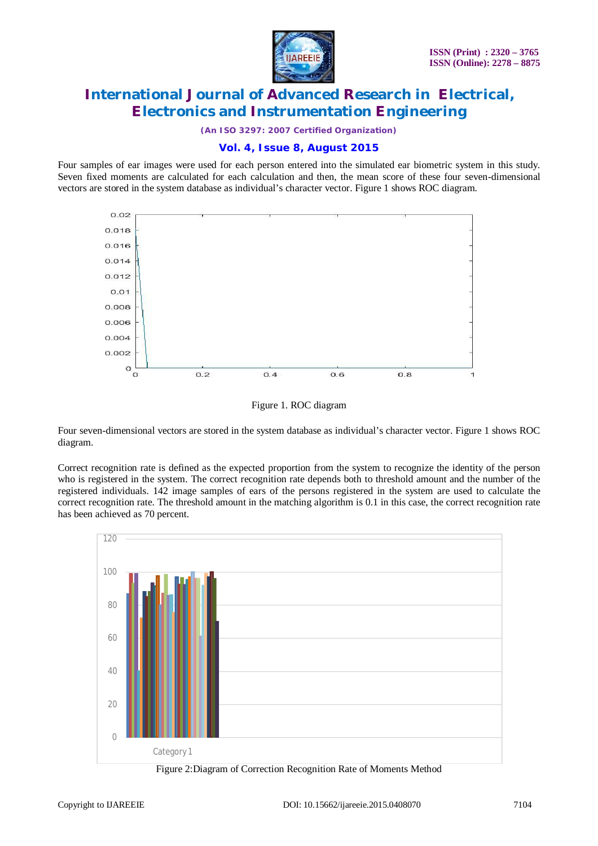

*(An ISO 3297: 2007 Certified Organization)*

## **Vol. 4, Issue 8, August 2015**

Four samples of ear images were used for each person entered into the simulated ear biometric system in this study. Seven fixed moments are calculated for each calculation and then, the mean score of these four seven-dimensional vectors are stored in the system database as individual's character vector. Figure 1 shows ROC diagram.





Four seven-dimensional vectors are stored in the system database as individual's character vector. Figure 1 shows ROC diagram.

Correct recognition rate is defined as the expected proportion from the system to recognize the identity of the person who is registered in the system. The correct recognition rate depends both to threshold amount and the number of the registered individuals. 142 image samples of ears of the persons registered in the system are used to calculate the correct recognition rate. The threshold amount in the matching algorithm is 0.1 in this case, the correct recognition rate has been achieved as 70 percent.